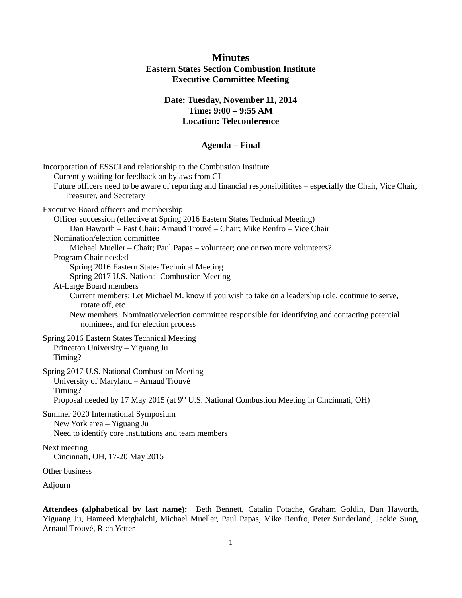# **Minutes Eastern States Section Combustion Institute Executive Committee Meeting**

## **Date: Tuesday, November 11, 2014 Time: 9:00 – 9:55 AM Location: Teleconference**

## **Agenda – Final**

| Incorporation of ESSCI and relationship to the Combustion Institute<br>Currently waiting for feedback on bylaws from CI<br>Future officers need to be aware of reporting and financial responsibilitities – especially the Chair, Vice Chair,<br>Treasurer, and Secretary                                                                                                                                                                                                                                                                                                                                                                                                                                                                   |
|---------------------------------------------------------------------------------------------------------------------------------------------------------------------------------------------------------------------------------------------------------------------------------------------------------------------------------------------------------------------------------------------------------------------------------------------------------------------------------------------------------------------------------------------------------------------------------------------------------------------------------------------------------------------------------------------------------------------------------------------|
| Executive Board officers and membership<br>Officer succession (effective at Spring 2016 Eastern States Technical Meeting)<br>Dan Haworth - Past Chair; Arnaud Trouvé - Chair; Mike Renfro - Vice Chair<br>Nomination/election committee<br>Michael Mueller - Chair; Paul Papas - volunteer; one or two more volunteers?<br>Program Chair needed<br>Spring 2016 Eastern States Technical Meeting<br>Spring 2017 U.S. National Combustion Meeting<br>At-Large Board members<br>Current members: Let Michael M. know if you wish to take on a leadership role, continue to serve,<br>rotate off, etc.<br>New members: Nomination/election committee responsible for identifying and contacting potential<br>nominees, and for election process |
| Spring 2016 Eastern States Technical Meeting<br>Princeton University - Yiguang Ju<br>Timing?                                                                                                                                                                                                                                                                                                                                                                                                                                                                                                                                                                                                                                                |
| Spring 2017 U.S. National Combustion Meeting<br>University of Maryland - Arnaud Trouvé<br>Timing?<br>Proposal needed by 17 May 2015 (at 9 <sup>th</sup> U.S. National Combustion Meeting in Cincinnati, OH)                                                                                                                                                                                                                                                                                                                                                                                                                                                                                                                                 |
| Summer 2020 International Symposium<br>New York area - Yiguang Ju<br>Need to identify core institutions and team members                                                                                                                                                                                                                                                                                                                                                                                                                                                                                                                                                                                                                    |
| Next meeting<br>Cincinnati, OH, 17-20 May 2015                                                                                                                                                                                                                                                                                                                                                                                                                                                                                                                                                                                                                                                                                              |
| Other business                                                                                                                                                                                                                                                                                                                                                                                                                                                                                                                                                                                                                                                                                                                              |
|                                                                                                                                                                                                                                                                                                                                                                                                                                                                                                                                                                                                                                                                                                                                             |

Adjourn

**Attendees (alphabetical by last name):** Beth Bennett, Catalin Fotache, Graham Goldin, Dan Haworth, Yiguang Ju, Hameed Metghalchi, Michael Mueller, Paul Papas, Mike Renfro, Peter Sunderland, Jackie Sung, Arnaud Trouvé, Rich Yetter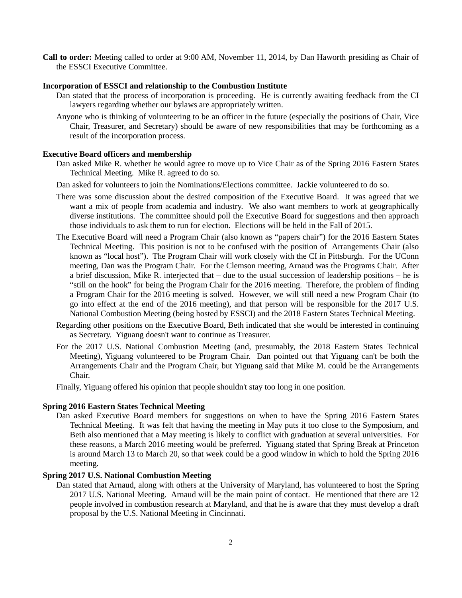**Call to order:** Meeting called to order at 9:00 AM, November 11, 2014, by Dan Haworth presiding as Chair of the ESSCI Executive Committee.

#### **Incorporation of ESSCI and relationship to the Combustion Institute**

- Dan stated that the process of incorporation is proceeding. He is currently awaiting feedback from the CI lawyers regarding whether our bylaws are appropriately written.
- Anyone who is thinking of volunteering to be an officer in the future (especially the positions of Chair, Vice Chair, Treasurer, and Secretary) should be aware of new responsibilities that may be forthcoming as a result of the incorporation process.

### **Executive Board officers and membership**

- Dan asked Mike R. whether he would agree to move up to Vice Chair as of the Spring 2016 Eastern States Technical Meeting. Mike R. agreed to do so.
- Dan asked for volunteers to join the Nominations/Elections committee. Jackie volunteered to do so.
- There was some discussion about the desired composition of the Executive Board. It was agreed that we want a mix of people from academia and industry. We also want members to work at geographically diverse institutions. The committee should poll the Executive Board for suggestions and then approach those individuals to ask them to run for election. Elections will be held in the Fall of 2015.
- The Executive Board will need a Program Chair (also known as "papers chair") for the 2016 Eastern States Technical Meeting. This position is not to be confused with the position of Arrangements Chair (also known as "local host"). The Program Chair will work closely with the CI in Pittsburgh. For the UConn meeting, Dan was the Program Chair. For the Clemson meeting, Arnaud was the Programs Chair. After a brief discussion, Mike R. interjected that – due to the usual succession of leadership positions – he is "still on the hook" for being the Program Chair for the 2016 meeting. Therefore, the problem of finding a Program Chair for the 2016 meeting is solved. However, we will still need a new Program Chair (to go into effect at the end of the 2016 meeting), and that person will be responsible for the 2017 U.S. National Combustion Meeting (being hosted by ESSCI) and the 2018 Eastern States Technical Meeting.
- Regarding other positions on the Executive Board, Beth indicated that she would be interested in continuing as Secretary. Yiguang doesn't want to continue as Treasurer.
- For the 2017 U.S. National Combustion Meeting (and, presumably, the 2018 Eastern States Technical Meeting), Yiguang volunteered to be Program Chair. Dan pointed out that Yiguang can't be both the Arrangements Chair and the Program Chair, but Yiguang said that Mike M. could be the Arrangements Chair.
- Finally, Yiguang offered his opinion that people shouldn't stay too long in one position.

## **Spring 2016 Eastern States Technical Meeting**

Dan asked Executive Board members for suggestions on when to have the Spring 2016 Eastern States Technical Meeting. It was felt that having the meeting in May puts it too close to the Symposium, and Beth also mentioned that a May meeting is likely to conflict with graduation at several universities. For these reasons, a March 2016 meeting would be preferred. Yiguang stated that Spring Break at Princeton is around March 13 to March 20, so that week could be a good window in which to hold the Spring 2016 meeting.

## **Spring 2017 U.S. National Combustion Meeting**

Dan stated that Arnaud, along with others at the University of Maryland, has volunteered to host the Spring 2017 U.S. National Meeting. Arnaud will be the main point of contact. He mentioned that there are 12 people involved in combustion research at Maryland, and that he is aware that they must develop a draft proposal by the U.S. National Meeting in Cincinnati.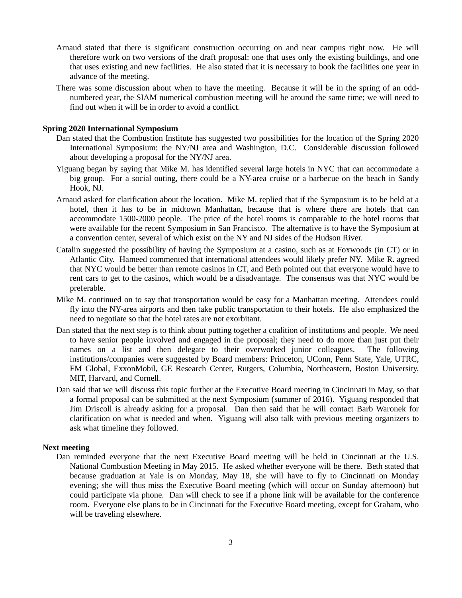- Arnaud stated that there is significant construction occurring on and near campus right now. He will therefore work on two versions of the draft proposal: one that uses only the existing buildings, and one that uses existing and new facilities. He also stated that it is necessary to book the facilities one year in advance of the meeting.
- There was some discussion about when to have the meeting. Because it will be in the spring of an oddnumbered year, the SIAM numerical combustion meeting will be around the same time; we will need to find out when it will be in order to avoid a conflict.

### **Spring 2020 International Symposium**

- Dan stated that the Combustion Institute has suggested two possibilities for the location of the Spring 2020 International Symposium: the NY/NJ area and Washington, D.C. Considerable discussion followed about developing a proposal for the NY/NJ area.
- Yiguang began by saying that Mike M. has identified several large hotels in NYC that can accommodate a big group. For a social outing, there could be a NY-area cruise or a barbecue on the beach in Sandy Hook, NJ.
- Arnaud asked for clarification about the location. Mike M. replied that if the Symposium is to be held at a hotel, then it has to be in midtown Manhattan, because that is where there are hotels that can accommodate 1500-2000 people. The price of the hotel rooms is comparable to the hotel rooms that were available for the recent Symposium in San Francisco. The alternative is to have the Symposium at a convention center, several of which exist on the NY and NJ sides of the Hudson River.
- Catalin suggested the possibility of having the Symposium at a casino, such as at Foxwoods (in CT) or in Atlantic City. Hameed commented that international attendees would likely prefer NY. Mike R. agreed that NYC would be better than remote casinos in CT, and Beth pointed out that everyone would have to rent cars to get to the casinos, which would be a disadvantage. The consensus was that NYC would be preferable.
- Mike M. continued on to say that transportation would be easy for a Manhattan meeting. Attendees could fly into the NY-area airports and then take public transportation to their hotels. He also emphasized the need to negotiate so that the hotel rates are not exorbitant.
- Dan stated that the next step is to think about putting together a coalition of institutions and people. We need to have senior people involved and engaged in the proposal; they need to do more than just put their names on a list and then delegate to their overworked junior colleagues. The following institutions/companies were suggested by Board members: Princeton, UConn, Penn State, Yale, UTRC, FM Global, ExxonMobil, GE Research Center, Rutgers, Columbia, Northeastern, Boston University, MIT, Harvard, and Cornell.
- Dan said that we will discuss this topic further at the Executive Board meeting in Cincinnati in May, so that a formal proposal can be submitted at the next Symposium (summer of 2016). Yiguang responded that Jim Driscoll is already asking for a proposal. Dan then said that he will contact Barb Waronek for clarification on what is needed and when. Yiguang will also talk with previous meeting organizers to ask what timeline they followed.

#### **Next meeting**

Dan reminded everyone that the next Executive Board meeting will be held in Cincinnati at the U.S. National Combustion Meeting in May 2015. He asked whether everyone will be there. Beth stated that because graduation at Yale is on Monday, May 18, she will have to fly to Cincinnati on Monday evening; she will thus miss the Executive Board meeting (which will occur on Sunday afternoon) but could participate via phone. Dan will check to see if a phone link will be available for the conference room. Everyone else plans to be in Cincinnati for the Executive Board meeting, except for Graham, who will be traveling elsewhere.